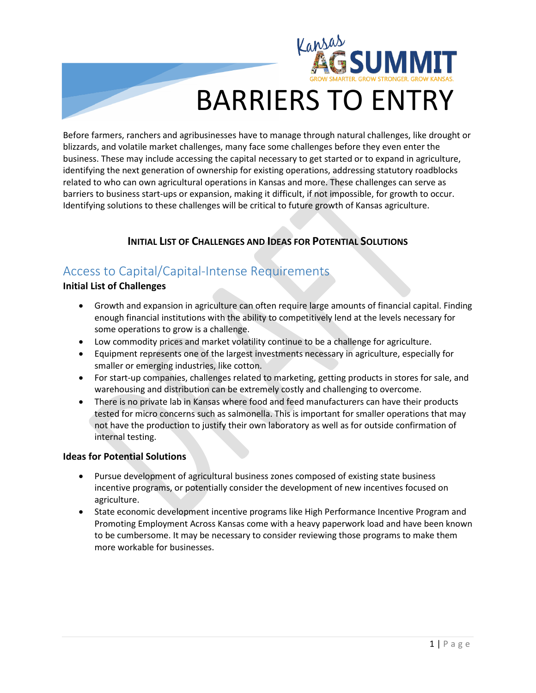

# BARRIERS TO ENTRY

Before farmers, ranchers and agribusinesses have to manage through natural challenges, like drought or blizzards, and volatile market challenges, many face some challenges before they even enter the business. These may include accessing the capital necessary to get started or to expand in agriculture, identifying the next generation of ownership for existing operations, addressing statutory roadblocks related to who can own agricultural operations in Kansas and more. These challenges can serve as barriers to business start-ups or expansion, making it difficult, if not impossible, for growth to occur. Identifying solutions to these challenges will be critical to future growth of Kansas agriculture.

#### **INITIAL LIST OF CHALLENGES AND IDEAS FOR POTENTIAL SOLUTIONS**

# Access to Capital/Capital-Intense Requirements

#### **Initial List of Challenges**

- Growth and expansion in agriculture can often require large amounts of financial capital. Finding enough financial institutions with the ability to competitively lend at the levels necessary for some operations to grow is a challenge.
- Low commodity prices and market volatility continue to be a challenge for agriculture.
- Equipment represents one of the largest investments necessary in agriculture, especially for smaller or emerging industries, like cotton.
- For start-up companies, challenges related to marketing, getting products in stores for sale, and warehousing and distribution can be extremely costly and challenging to overcome.
- There is no private lab in Kansas where food and feed manufacturers can have their products tested for micro concerns such as salmonella. This is important for smaller operations that may not have the production to justify their own laboratory as well as for outside confirmation of internal testing.

#### **Ideas for Potential Solutions**

- Pursue development of agricultural business zones composed of existing state business incentive programs, or potentially consider the development of new incentives focused on agriculture.
- State economic development incentive programs like High Performance Incentive Program and Promoting Employment Across Kansas come with a heavy paperwork load and have been known to be cumbersome. It may be necessary to consider reviewing those programs to make them more workable for businesses.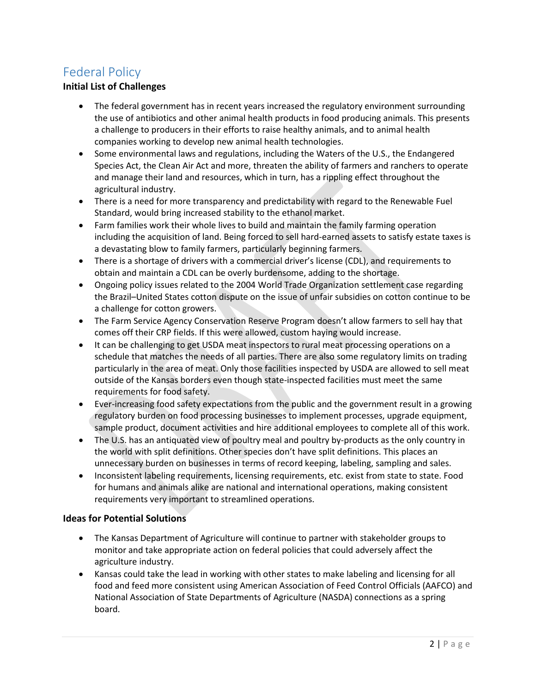# Federal Policy

#### **Initial List of Challenges**

- The federal government has in recent years increased the regulatory environment surrounding the use of antibiotics and other animal health products in food producing animals. This presents a challenge to producers in their efforts to raise healthy animals, and to animal health companies working to develop new animal health technologies.
- Some environmental laws and regulations, including the Waters of the U.S., the Endangered Species Act, the Clean Air Act and more, threaten the ability of farmers and ranchers to operate and manage their land and resources, which in turn, has a rippling effect throughout the agricultural industry.
- There is a need for more transparency and predictability with regard to the Renewable Fuel Standard, would bring increased stability to the ethanol market.
- Farm families work their whole lives to build and maintain the family farming operation including the acquisition of land. Being forced to sell hard-earned assets to satisfy estate taxes is a devastating blow to family farmers, particularly beginning farmers.
- There is a shortage of drivers with a commercial driver's license (CDL), and requirements to obtain and maintain a CDL can be overly burdensome, adding to the shortage.
- Ongoing policy issues related to the 2004 World Trade Organization settlement case regarding the Brazil–United States cotton dispute on the issue of unfair subsidies on cotton continue to be a challenge for cotton growers.
- The Farm Service Agency Conservation Reserve Program doesn't allow farmers to sell hay that comes off their CRP fields. If this were allowed, custom haying would increase.
- It can be challenging to get USDA meat inspectors to rural meat processing operations on a schedule that matches the needs of all parties. There are also some regulatory limits on trading particularly in the area of meat. Only those facilities inspected by USDA are allowed to sell meat outside of the Kansas borders even though state-inspected facilities must meet the same requirements for food safety.
- Ever-increasing food safety expectations from the public and the government result in a growing regulatory burden on food processing businesses to implement processes, upgrade equipment, sample product, document activities and hire additional employees to complete all of this work.
- The U.S. has an antiquated view of poultry meal and poultry by-products as the only country in the world with split definitions. Other species don't have split definitions. This places an unnecessary burden on businesses in terms of record keeping, labeling, sampling and sales.
- Inconsistent labeling requirements, licensing requirements, etc. exist from state to state. Food for humans and animals alike are national and international operations, making consistent requirements very important to streamlined operations.

#### **Ideas for Potential Solutions**

- The Kansas Department of Agriculture will continue to partner with stakeholder groups to monitor and take appropriate action on federal policies that could adversely affect the agriculture industry.
- Kansas could take the lead in working with other states to make labeling and licensing for all food and feed more consistent using American Association of Feed Control Officials (AAFCO) and National Association of State Departments of Agriculture (NASDA) connections as a spring board.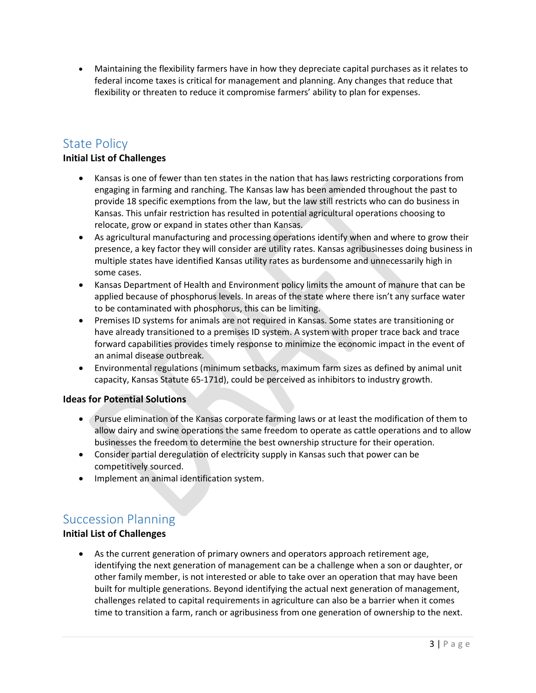• Maintaining the flexibility farmers have in how they depreciate capital purchases as it relates to federal income taxes is critical for management and planning. Any changes that reduce that flexibility or threaten to reduce it compromise farmers' ability to plan for expenses.

# State Policy

#### **Initial List of Challenges**

- Kansas is one of fewer than ten states in the nation that has laws restricting corporations from engaging in farming and ranching. The Kansas law has been amended throughout the past to provide 18 specific exemptions from the law, but the law still restricts who can do business in Kansas. This unfair restriction has resulted in potential agricultural operations choosing to relocate, grow or expand in states other than Kansas.
- As agricultural manufacturing and processing operations identify when and where to grow their presence, a key factor they will consider are utility rates. Kansas agribusinesses doing business in multiple states have identified Kansas utility rates as burdensome and unnecessarily high in some cases.
- Kansas Department of Health and Environment policy limits the amount of manure that can be applied because of phosphorus levels. In areas of the state where there isn't any surface water to be contaminated with phosphorus, this can be limiting.
- Premises ID systems for animals are not required in Kansas. Some states are transitioning or have already transitioned to a premises ID system. A system with proper trace back and trace forward capabilities provides timely response to minimize the economic impact in the event of an animal disease outbreak.
- Environmental regulations (minimum setbacks, maximum farm sizes as defined by animal unit capacity, Kansas Statute 65-171d), could be perceived as inhibitors to industry growth.

#### **Ideas for Potential Solutions**

- Pursue elimination of the Kansas corporate farming laws or at least the modification of them to allow dairy and swine operations the same freedom to operate as cattle operations and to allow businesses the freedom to determine the best ownership structure for their operation.
- Consider partial deregulation of electricity supply in Kansas such that power can be competitively sourced.
- Implement an animal identification system.

### Succession Planning

#### **Initial List of Challenges**

• As the current generation of primary owners and operators approach retirement age, identifying the next generation of management can be a challenge when a son or daughter, or other family member, is not interested or able to take over an operation that may have been built for multiple generations. Beyond identifying the actual next generation of management, challenges related to capital requirements in agriculture can also be a barrier when it comes time to transition a farm, ranch or agribusiness from one generation of ownership to the next.